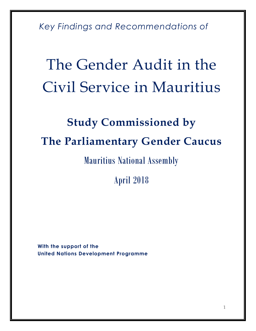*Key Findings and Recommendations of* 

# The Gender Audit in the Civil Service in Mauritius

### **Study Commissioned by The Parliamentary Gender Caucus**

Mauritius National Assembly

April 2018

**With the support of the United Nations Development Programme**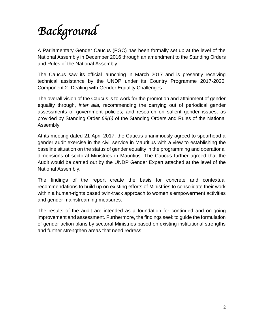# *Background*

A Parliamentary Gender Caucus (PGC) has been formally set up at the level of the National Assembly in December 2016 through an amendment to the Standing Orders and Rules of the National Assembly.

The Caucus saw its official launching in March 2017 and is presently receiving technical assistance by the UNDP under its Country Programme 2017-2020, Component 2- Dealing with Gender Equality Challenges .

The overall vision of the Caucus is to work for the promotion and attainment of gender equality through, *inter alia,* recommending the carrying out of periodical gender assessments of government policies; and research on salient gender issues, as provided by Standing Order *69(6)* of the Standing Orders and Rules of the National Assembly.

At its meeting dated 21 April 2017, the Caucus unanimously agreed to spearhead a gender audit exercise in the civil service in Mauritius with a view to establishing the baseline situation on the status of gender equality in the programming and operational dimensions of sectoral Ministries in Mauritius. The Caucus further agreed that the Audit would be carried out by the UNDP Gender Expert attached at the level of the National Assembly.

The findings of the report create the basis for concrete and contextual recommendations to build up on existing efforts of Ministries to consolidate their work within a human-rights based twin-track approach to women's empowerment activities and gender mainstreaming measures.

The results of the audit are intended as a foundation for continued and on-going improvement and assessment. Furthermore, the findings seek to guide the formulation of gender action plans by sectoral Ministries based on existing institutional strengths and further strengthen areas that need redress.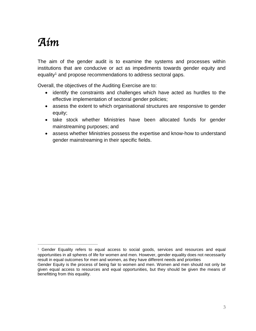### *Aim*

 $\overline{a}$ 

The aim of the gender audit is to examine the systems and processes within institutions that are conducive or act as impediments towards gender equity and equality<sup>1</sup> and propose recommendations to address sectoral gaps.

Overall, the objectives of the Auditing Exercise are to:

- identify the constraints and challenges which have acted as hurdles to the effective implementation of sectoral gender policies;
- assess the extent to which organisational structures are responsive to gender equity;
- take stock whether Ministries have been allocated funds for gender mainstreaming purposes; and
- assess whether Ministries possess the expertise and know-how to understand gender mainstreaming in their specific fields.

 $1$  Gender Equality refers to equal access to social goods, services and resources and equal opportunities in all spheres of life for women and men. However, gender equality does not necessarily result in equal outcomes for men and women, as they have different needs and priorities

Gender Equity is the process of being fair to women and men. Women and men should not only be given equal access to resources and equal opportunities, but they should be given the means of benefitting from this equality.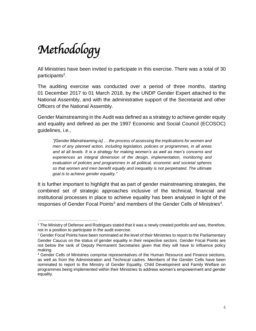## *Methodology*

All Ministries have been invited to participate in this exercise. There was a total of 30 participants<sup>2</sup>.

The auditing exercise was conducted over a period of three months, starting 01 December 2017 to 01 March 2018, by the UNDP Gender Expert attached to the National Assembly, and with the administrative support of the Secretariat and other Officers of the National Assembly.

Gender Mainstreaming in the Audit was defined as a strategy to achieve gender equity and equality and defined as per the 1997 Economic and Social Council (ECOSOC) guidelines, i.e.,

*"[Gender Mainstreaming is] … the process of assessing the implications for women and men of any planned action, including legislation, policies or programmes, in all areas and at all levels. It is a strategy for making women's as well as men's concerns and experiences an integral dimension of the design, implementation, monitoring and evaluation of policies and programmes in all political, economic and societal spheres so that women and men benefit equally and inequality is not perpetrated. The ultimate goal is to achieve gender equality."* 

It is further important to highlight that as part of gender mainstreaming strategies, the combined set of strategic approaches inclusive of the technical, financial and institutional processes in place to achieve equality has been analysed in light of the responses of Gender Focal Points<sup>3</sup> and members of the Gender Cells of Ministries<sup>4</sup>.

 $\overline{a}$  $2$  The Ministry of Defense and Rodrigues stated that it was a newly created portfolio and was, therefore, not in a position to participate in the audit exercise.

<sup>&</sup>lt;sup>3</sup> Gender Focal Points have been nominated at the level of their Ministries to report to the Parliamentary Gender Caucus on the status of gender equality in their respective sectors. Gender Focal Points are not below the rank of Deputy Permanent Secretaries given that they will have to influence policy making.

<sup>4</sup> Gender Cells of Ministries comprise representatives of the Human Resource and Finance sections, as well as from the Administration and Technical cadres. Members of the Gender Cells have been nominated to report to the Ministry of Gender Equality, Child Development and Family Welfare on programmes being implemented within their Ministries to address women's empowerment and gender equality.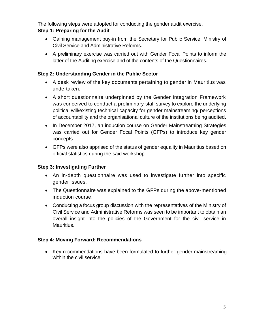The following steps were adopted for conducting the gender audit exercise.

#### **Step 1: Preparing for the Audit**

- Gaining management buy-in from the Secretary for Public Service, Ministry of Civil Service and Administrative Reforms.
- A preliminary exercise was carried out with Gender Focal Points to inform the latter of the Auditing exercise and of the contents of the Questionnaires.

#### **Step 2: Understanding Gender in the Public Sector**

- A desk review of the key documents pertaining to gender in Mauritius was undertaken.
- A short questionnaire underpinned by the Gender Integration Framework was conceived to conduct a preliminary staff survey to explore the underlying political will/existing technical capacity for gender mainstreaming/ perceptions of accountability and the organisational culture of the institutions being audited.
- In December 2017, an induction course on Gender Mainstreaming Strategies was carried out for Gender Focal Points (GFPs) to introduce key gender concepts.
- GFPs were also apprised of the status of gender equality in Mauritius based on official statistics during the said workshop.

#### **Step 3: Investigating Further**

- An in-depth questionnaire was used to investigate further into specific gender issues.
- The Questionnaire was explained to the GFPs during the above-mentioned induction course.
- Conducting a focus group discussion with the representatives of the Ministry of Civil Service and Administrative Reforms was seen to be important to obtain an overall insight into the policies of the Government for the civil service in Mauritius.

#### **Step 4: Moving Forward: Recommendations**

 Key recommendations have been formulated to further gender mainstreaming within the civil service.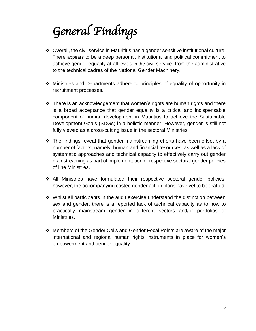# *General Findings*

- Overall, the civil service in Mauritius has a gender sensitive institutional culture. There appears to be a deep personal, institutional and political commitment to achieve gender equality at all levels in the civil service, from the administrative to the technical cadres of the National Gender Machinery.
- Ministries and Departments adhere to principles of equality of opportunity in recruitment processes.
- $\cdot$  There is an acknowledgement that women's rights are human rights and there is a broad acceptance that gender equality is a critical and indispensable component of human development in Mauritius to achieve the Sustainable Development Goals (SDGs) in a holistic manner. However, gender is still not fully viewed as a cross-cutting issue in the sectoral Ministries.
- $\div$  The findings reveal that gender-mainstreaming efforts have been offset by a number of factors, namely, human and financial resources, as well as a lack of systematic approaches and technical capacity to effectively carry out gender mainstreaming as part of implementation of respective sectoral gender policies of line Ministries.
- All Ministries have formulated their respective sectoral gender policies, however, the accompanying costed gender action plans have yet to be drafted.
- $\div$  Whilst all participants in the audit exercise understand the distinction between sex and gender, there is a reported lack of technical capacity as to how to practically mainstream gender in different sectors and/or portfolios of Ministries.
- Members of the Gender Cells and Gender Focal Points are aware of the major international and regional human rights instruments in place for women's empowerment and gender equality.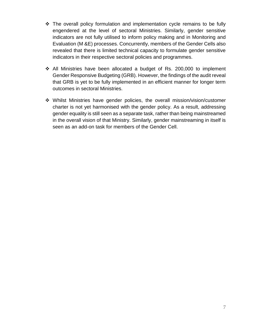- $\div$  The overall policy formulation and implementation cycle remains to be fully engendered at the level of sectoral Ministries. Similarly, gender sensitive indicators are not fully utilised to inform policy making and in Monitoring and Evaluation (M &E) processes. Concurrently, members of the Gender Cells also revealed that there is limited technical capacity to formulate gender sensitive indicators in their respective sectoral policies and programmes.
- All Ministries have been allocated a budget of Rs. 200,000 to implement Gender Responsive Budgeting (GRB). However, the findings of the audit reveal that GRB is yet to be fully implemented in an efficient manner for longer term outcomes in sectoral Ministries.
- Whilst Ministries have gender policies, the overall mission/vision/customer charter is not yet harmonised with the gender policy. As a result, addressing gender equality is still seen as a separate task, rather than being mainstreamed in the overall vision of that Ministry. Similarly, gender mainstreaming in itself is seen as an add-on task for members of the Gender Cell.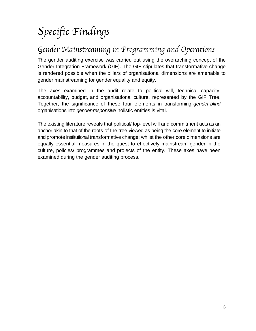### *Specific Findings*

### *Gender Mainstreaming in Programming and Operations*

The gender auditing exercise was carried out using the overarching concept of the Gender Integration Framework (GIF). The GIF stipulates that transformative change is rendered possible when the pillars of organisational dimensions are amenable to gender mainstreaming for gender equality and equity.

The axes examined in the audit relate to political will, technical capacity, accountability, budget, and organisational culture, represented by the GIF Tree. Together, the significance of these four elements in transforming *gender-blind* organisations into *gender-responsive* holistic entities is vital.

The existing literature reveals that political/ top-level will and commitment acts as an anchor akin to that of the roots of the tree viewed as being the core element to initiate and promote institutional transformative change; whilst the other core dimensions are equally essential measures in the quest to effectively mainstream gender in the culture, policies/ programmes and projects of the entity. These axes have been examined during the gender auditing process.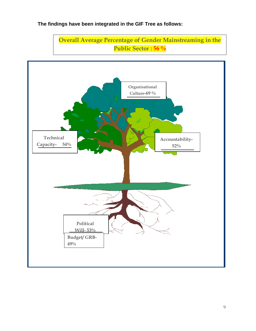#### **The findings have been integrated in the GIF Tree as follows:**



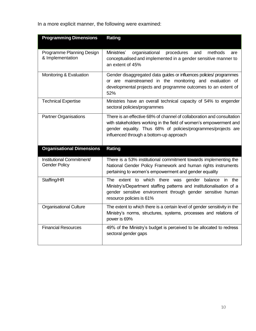In a more explicit manner, the following were examined:

| <b>Programming Dimensions</b>                     | Rating                                                                                                                                                                                                                                                  |
|---------------------------------------------------|---------------------------------------------------------------------------------------------------------------------------------------------------------------------------------------------------------------------------------------------------------|
| Programme Planning Design<br>& Implementation     | Ministries'<br>organisational<br>methods<br>procedures<br>and<br>are<br>conceptualised and implemented in a gender sensitive manner to<br>an extent of 45%                                                                                              |
| Monitoring & Evaluation                           | Gender disaggregated data guides or influences policies/ programmes<br>or are mainstreamed in the monitoring and evaluation of<br>developmental projects and programme outcomes to an extent of<br>52%                                                  |
| <b>Technical Expertise</b>                        | Ministries have an overall technical capacity of 54% to engender<br>sectoral policies/programmes                                                                                                                                                        |
| <b>Partner Organisations</b>                      | There is an effective 68% of channel of collaboration and consultation<br>with stakeholders working in the field of women's empowerment and<br>gender equality. Thus 68% of policies/programmes/projects are<br>influenced through a bottom-up approach |
| <b>Organisational Dimensions</b>                  | Rating                                                                                                                                                                                                                                                  |
| Institutional Commitment/<br><b>Gender Policy</b> | There is a 53% institutional commitment towards implementing the<br>National Gender Policy Framework and human rights instruments<br>pertaining to women's empowerment and gender equality                                                              |
| Staffing/HR                                       | extent to which there was<br>gender balance<br>The<br>in the<br>Ministry's/Department staffing patterns and institutionalisation of a<br>gender sensitive environment through gender sensitive human<br>resource policies is 61%                        |
| <b>Organisational Culture</b>                     | The extent to which there is a certain level of gender sensitivity in the<br>Ministry's norms, structures, systems, processes and relations of<br>power is 69%                                                                                          |
| <b>Financial Resources</b>                        | 49% of the Ministry's budget is perceived to be allocated to redress<br>sectoral gender gaps                                                                                                                                                            |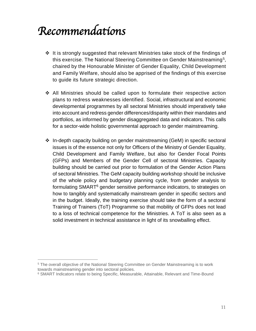### *Recommendations*

- $\div$  It is strongly suggested that relevant Ministries take stock of the findings of this exercise. The National Steering Committee on Gender Mainstreaming<sup>5</sup>, chaired by the Honourable Minister of Gender Equality, Child Development and Family Welfare, should also be apprised of the findings of this exercise to guide its future strategic direction.
- All Ministries should be called upon to formulate their respective action plans to redress weaknesses identified. Social, infrastructural and economic developmental programmes by all sectoral Ministries should imperatively take into account and redress gender differences/disparity within their mandates and portfolios, as informed by gender disaggregated data and indicators. This calls for a sector-wide holistic governmental approach to gender mainstreaming.
- In-depth capacity building on gender mainstreaming (GeM) in specific sectoral issues is of the essence not only for Officers of the Ministry of Gender Equality, Child Development and Family Welfare, but also for Gender Focal Points (GFPs) and Members of the Gender Cell of sectoral Ministries. Capacity building should be carried out prior to formulation of the Gender Action Plans of sectoral Ministries. The GeM capacity building workshop should be inclusive of the whole policy and budgetary planning cycle, from gender analysis to formulating SMART<sup>6</sup> gender sensitive performance indicators, to strategies on how to tangibly and systematically mainstream gender in specific sectors and in the budget. Ideally, the training exercise should take the form of a sectoral Training of Trainers (ToT) Programme so that mobility of GFPs does not lead to a loss of technical competence for the Ministries. A ToT is also seen as a solid investment in technical assistance in light of its snowballing effect.

 $\overline{a}$ 

<sup>&</sup>lt;sup>5</sup> The overall objective of the National Steering Committee on Gender Mainstreaming is to work towards mainstreaming gender into sectoral policies.

<sup>&</sup>lt;sup>6</sup> SMART Indicators relate to being Specific, Measurable, Attainable, Relevant and Time-Bound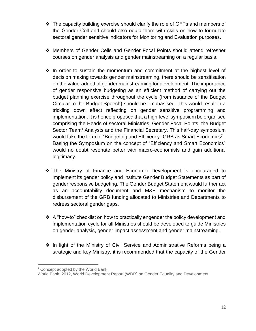- $\div$  The capacity building exercise should clarify the role of GFPs and members of the Gender Cell and should also equip them with skills on how to formulate sectoral gender sensitive indicators for Monitoring and Evaluation purposes.
- Members of Gender Cells and Gender Focal Points should attend refresher courses on gender analysis and gender mainstreaming on a regular basis.
- $\div$  In order to sustain the momentum and commitment at the highest level of decision making towards gender mainstreaming, there should be sensitisation on the value-added of gender mainstreaming for development. The importance of gender responsive budgeting as an efficient method of carrying out the budget planning exercise throughout the cycle (from issuance of the Budget Circular to the Budget Speech) should be emphasised. This would result in a trickling down effect reflecting on gender sensitive programming and implementation. It is hence proposed that a high-level symposium be organised comprising the Heads of sectoral Ministries, Gender Focal Points, the Budget Sector Team/ Analysts and the Financial Secretary. This half-day symposium would take the form of "Budgeting and Efficiency- GRB as Smart Economics<sup>7</sup>". Basing the Symposium on the concept of "Efficiency and Smart Economics" would no doubt resonate better with macro-economists and gain additional legitimacy.
- The Ministry of Finance and Economic Development is encouraged to implement its gender policy and institute Gender Budget Statements as part of gender responsive budgeting. The Gender Budget Statement would further act as an accountability document and M&E mechanism to monitor the disbursement of the GRB funding allocated to Ministries and Departments to redress sectoral gender gaps.
- $\div$  A "how-to" checklist on how to practically engender the policy development and implementation cycle for all Ministries should be developed to guide Ministries on gender analysis, gender impact assessment and gender mainstreaming.
- ❖ In light of the Ministry of Civil Service and Administrative Reforms being a strategic and key Ministry, it is recommended that the capacity of the Gender

 $\overline{a}$ 

<sup>7</sup> Concept adopted by the World Bank.

World Bank, 2012, [World Development Report \(](http://econ.worldbank.org/WBSITE/EXTERNAL/EXTDEC/EXTRESEARCH/EXTWDRS/EXTWDR2012/0,,menuPK:7778074~pagePK:7778278~piPK:7778320~theSitePK:7778063~contentMDK:22851055,00.html)WDR) on Gender Equality and Development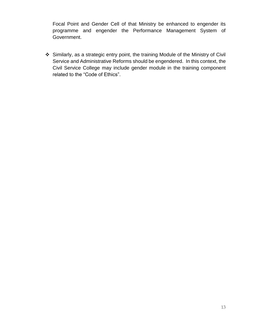Focal Point and Gender Cell of that Ministry be enhanced to engender its programme and engender the Performance Management System of Government.

 Similarly, as a strategic entry point, the training Module of the Ministry of Civil Service and Administrative Reforms should be engendered. In this context, the Civil Service College may include gender module in the training component related to the "Code of Ethics".